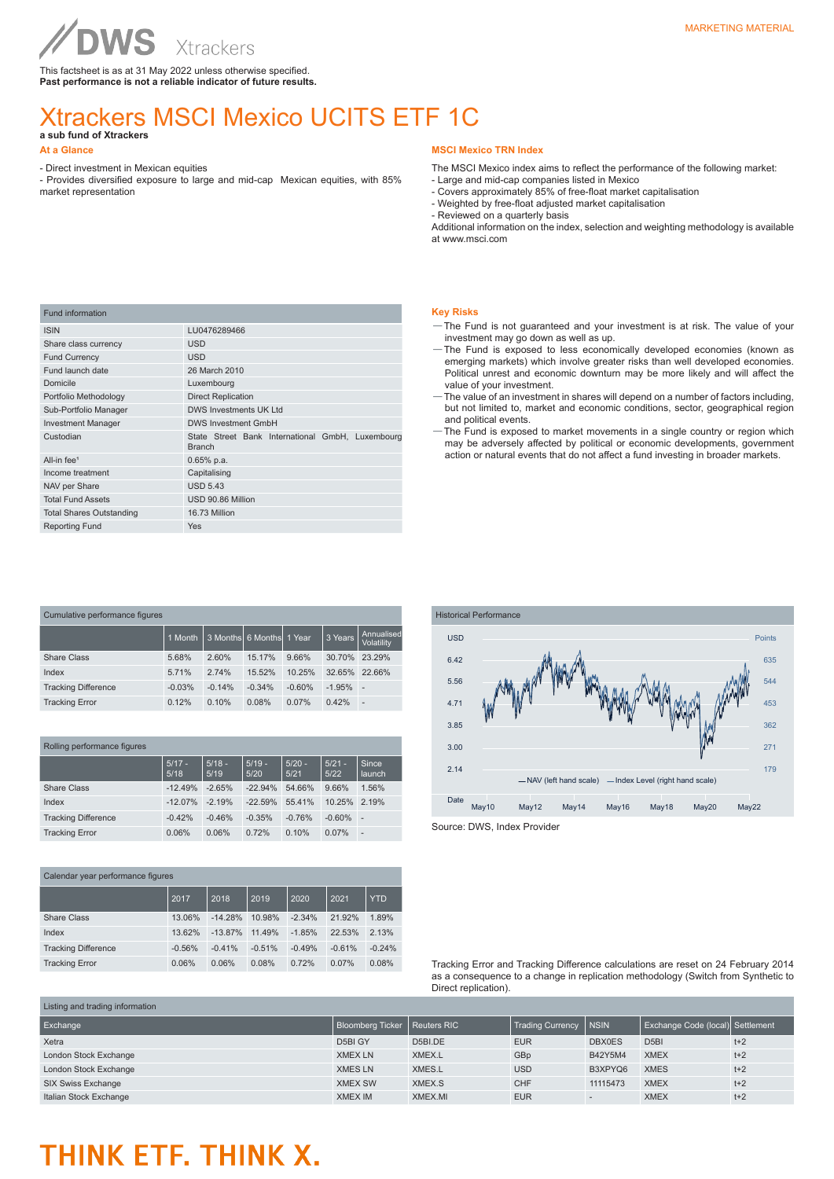This factsheet is as at 31 May 2022 unless otherwise specified. **Past performance is not a reliable indicator of future results.**

### Xtrackers MSCI Mexico UCITS ETF 1C

**a sub fund of Xtrackers** 

#### **At a Glance**

- Direct investment in Mexican equities

- Provides diversified exposure to large and mid-cap Mexican equities, with 85% market representation

#### **MSCI Mexico TRN Index**

The MSCI Mexico index aims to reflect the performance of the following market:

- Large and mid-cap companies listed in Mexico - Covers approximately 85% of free-float market capitalisation
- Weighted by free-float adjusted market capitalisation
- Reviewed on a quarterly basis

Additional information on the index, selection and weighting methodology is available at www.msci.com

| <b>Fund information</b>         |                                                                   |  |  |  |  |
|---------------------------------|-------------------------------------------------------------------|--|--|--|--|
| <b>ISIN</b>                     | LU0476289466                                                      |  |  |  |  |
| Share class currency            | <b>USD</b>                                                        |  |  |  |  |
| <b>Fund Currency</b>            | <b>USD</b>                                                        |  |  |  |  |
| Fund launch date                | 26 March 2010                                                     |  |  |  |  |
| Domicile                        | Luxembourg                                                        |  |  |  |  |
| Portfolio Methodology           | <b>Direct Replication</b>                                         |  |  |  |  |
| Sub-Portfolio Manager           | DWS Investments UK Ltd                                            |  |  |  |  |
| <b>Investment Manager</b>       | <b>DWS Investment GmbH</b>                                        |  |  |  |  |
| Custodian                       | State Street Bank International GmbH, Luxembourg<br><b>Branch</b> |  |  |  |  |
| All-in fee <sup>1</sup>         | $0.65%$ p.a.                                                      |  |  |  |  |
| Income treatment                | Capitalising                                                      |  |  |  |  |
| NAV per Share                   | <b>USD 5.43</b>                                                   |  |  |  |  |
| <b>Total Fund Assets</b>        | USD 90.86 Million                                                 |  |  |  |  |
| <b>Total Shares Outstanding</b> | 16.73 Million                                                     |  |  |  |  |
| <b>Reporting Fund</b>           | <b>Yes</b>                                                        |  |  |  |  |

| <b>Key Risks</b>                                                              |  |
|-------------------------------------------------------------------------------|--|
| -The Fund is not quaranteed and your investment is at risk. The value of your |  |
| investment may go down as well as up                                          |  |

- ent may go down as well as up. —The Fund is exposed to less economically developed economies (known as emerging markets) which involve greater risks than well developed economies. Political unrest and economic downturn may be more likely and will affect the value of your investment.
- —The value of an investment in shares will depend on a number of factors including, but not limited to, market and economic conditions, sector, geographical region and political events.
- —The Fund is exposed to market movements in a single country or region which may be adversely affected by political or economic developments, government action or natural events that do not affect a fund investing in broader markets.

| Cumulative performance figures |          |          |                   |          |          |                          |  |
|--------------------------------|----------|----------|-------------------|----------|----------|--------------------------|--|
|                                | 1 Month  |          | 3 Months 6 Months | 1 Year   | 3 Years  | Annualised<br>Volatility |  |
| Share Class                    | 5.68%    | 2.60%    | 15.17%            | 9.66%    | 30.70%   | 23.29%                   |  |
| Index                          | 5.71%    | 2.74%    | 15.52%            | 10.25%   | 32.65%   | 22.66%                   |  |
| <b>Tracking Difference</b>     | $-0.03%$ | $-0.14%$ | $-0.34%$          | $-0.60%$ | $-1.95%$ | $\overline{\phantom{a}}$ |  |
| <b>Tracking Error</b>          | 0.12%    | 0.10%    | 0.08%             | 0.07%    | 0.42%    | ÷,                       |  |

#### Rolling performance figures

|                            | $5/17 -$<br>5/18 | $5/18 -$<br>5/19 | $5/19 -$<br>5/20 | $5/20 -$<br>5/21 | $5/21 -$<br>5/22 | Since<br><b>launch</b>   |
|----------------------------|------------------|------------------|------------------|------------------|------------------|--------------------------|
| Share Class                | $-12.49%$        | $-2.65%$         | $-22.94\%$       | 54.66%           | 9.66%            | 1.56%                    |
| Index                      | $-12.07%$        | $-2.19%$         | $-22.59%$        | 55.41%           | 10.25%           | 2.19%                    |
| <b>Tracking Difference</b> | $-0.42%$         | $-0.46%$         | $-0.35%$         | $-0.76%$         | $-0.60%$         | . .                      |
| <b>Tracking Error</b>      | 0.06%            | 0.06%            | 0.72%            | 0.10%            | 0.07%            | $\overline{\phantom{a}}$ |

Calendar year performance figures 2017 2018 2019 2020 2021 YTD Share Class 13.06% -14.28% 10.98% -2.34% 21.92% 1.89% Index 13.62% -13.87% 11.49% -1.85% 22.53% 2.13% Tracking Difference -0.56% -0.41% -0.51% -0.49% -0.61% -0.24% Tracking Error 0.06% 0.06% 0.08% 0.72% 0.07% 0.08%



Tracking Error and Tracking Difference calculations are reset on 24 February 2014 as a consequence to a change in replication methodology (Switch from Synthetic to Direct replication).

| Listing and trading information |                                |         |                         |               |                                   |       |  |
|---------------------------------|--------------------------------|---------|-------------------------|---------------|-----------------------------------|-------|--|
| Exchange                        | Bloomberg Ticker   Reuters RIC |         | <b>Trading Currency</b> | <b>INSIN</b>  | Exchange Code (local)  Settlement |       |  |
| Xetra                           | D5BI GY                        | D5BI.DE | <b>EUR</b>              | <b>DBX0ES</b> | D <sub>5</sub> BI                 | $t+2$ |  |
| London Stock Exchange           | <b>XMEX LN</b>                 | XMEX.L  | GBp                     | B42Y5M4       | <b>XMEX</b>                       | $t+2$ |  |
| London Stock Exchange           | <b>XMES LN</b>                 | XMES.L  | <b>USD</b>              | B3XPYQ6       | <b>XMES</b>                       | $t+2$ |  |
| SIX Swiss Exchange              | <b>XMEX SW</b>                 | XMEX.S  | <b>CHF</b>              | 11115473      | <b>XMEX</b>                       | $t+2$ |  |
| Italian Stock Exchange          | <b>XMEX IM</b>                 | XMEX.MI | <b>EUR</b>              |               | <b>XMEX</b>                       | $t+2$ |  |

## THINK ETF. THINK X.